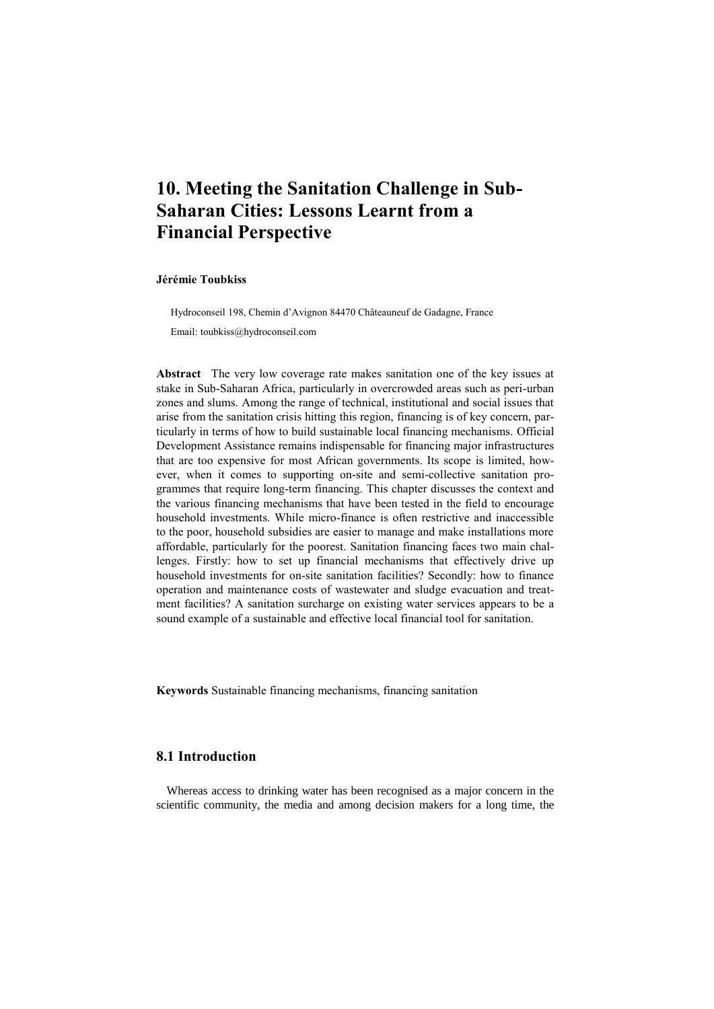# **10. Meeting the Sanitation Challenge in Sub-Saharan Cities: Lessons Learnt from a Financial Perspective**

#### **Jérémie Toubkiss**

Hydroconseil 198, Chemin d'Avignon 84470 Châteauneuf de Gadagne, France Email: toubkiss@hydroconseil.com

**Abstract** The very low coverage rate makes sanitation one of the key issues at stake in Sub-Saharan Africa, particularly in overcrowded areas such as peri-urban zones and slums. Among the range of technical, institutional and social issues that arise from the sanitation crisis hitting this region, financing is of key concern, particularly in terms of how to build sustainable local financing mechanisms. Official Development Assistance remains indispensable for financing major infrastructures that are too expensive for most African governments. Its scope is limited, however, when it comes to supporting on-site and semi-collective sanitation programmes that require long-term financing. This chapter discusses the context and the various financing mechanisms that have been tested in the field to encourage household investments. While micro-finance is often restrictive and inaccessible to the poor, household subsidies are easier to manage and make installations more affordable, particularly for the poorest. Sanitation financing faces two main challenges. Firstly: how to set up financial mechanisms that effectively drive up household investments for on-site sanitation facilities? Secondly: how to finance operation and maintenance costs of wastewater and sludge evacuation and treatment facilities? A sanitation surcharge on existing water services appears to be a sound example of a sustainable and effective local financial tool for sanitation.

**Keywords** Sustainable financing mechanisms, financing sanitation

## **8.1 Introduction**

Whereas access to drinking water has been recognised as a major concern in the scientific community, the media and among decision makers for a long time, the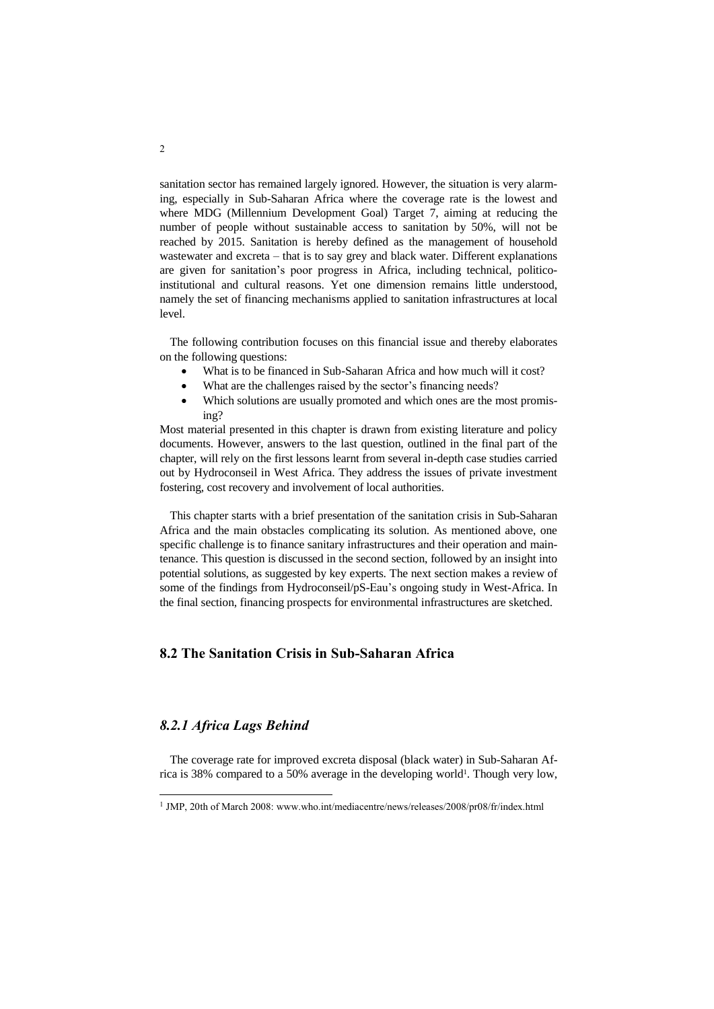sanitation sector has remained largely ignored. However, the situation is very alarming, especially in Sub-Saharan Africa where the coverage rate is the lowest and where MDG (Millennium Development Goal) Target 7, aiming at reducing the number of people without sustainable access to sanitation by 50%, will not be reached by 2015. Sanitation is hereby defined as the management of household wastewater and excreta – that is to say grey and black water. Different explanations are given for sanitation's poor progress in Africa, including technical, politicoinstitutional and cultural reasons. Yet one dimension remains little understood, namely the set of financing mechanisms applied to sanitation infrastructures at local level.

The following contribution focuses on this financial issue and thereby elaborates on the following questions:

- What is to be financed in Sub-Saharan Africa and how much will it cost?
- What are the challenges raised by the sector's financing needs?
- Which solutions are usually promoted and which ones are the most promising?

Most material presented in this chapter is drawn from existing literature and policy documents. However, answers to the last question, outlined in the final part of the chapter, will rely on the first lessons learnt from several in-depth case studies carried out by Hydroconseil in West Africa. They address the issues of private investment fostering, cost recovery and involvement of local authorities.

This chapter starts with a brief presentation of the sanitation crisis in Sub-Saharan Africa and the main obstacles complicating its solution. As mentioned above, one specific challenge is to finance sanitary infrastructures and their operation and maintenance. This question is discussed in the second section, followed by an insight into potential solutions, as suggested by key experts. The next section makes a review of some of the findings from Hydroconseil/pS-Eau's ongoing study in West-Africa. In the final section, financing prospects for environmental infrastructures are sketched.

## **8.2 The Sanitation Crisis in Sub-Saharan Africa**

#### *8.2.1 Africa Lags Behind*

 $\overline{a}$ 

The coverage rate for improved excreta disposal (black water) in Sub-Saharan Africa is 38% compared to a 50% average in the developing world<sup>1</sup>. Though very low,

<sup>&</sup>lt;sup>1</sup> JMP, 20th of March 2008: www.who.int/mediacentre/news/releases/2008/pr08/fr/index.html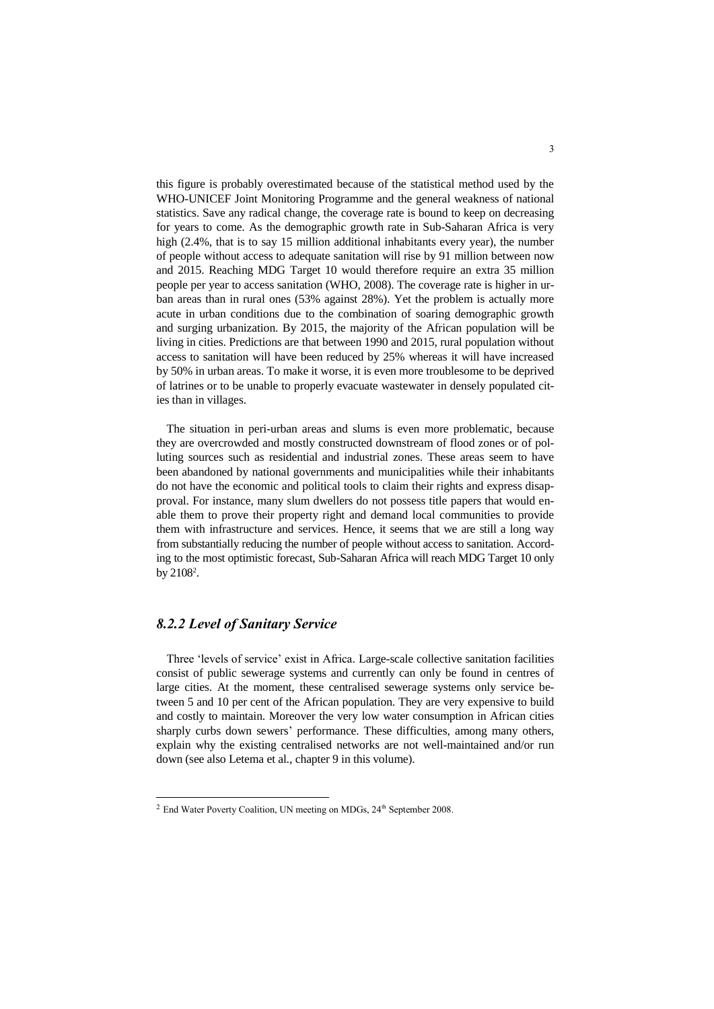this figure is probably overestimated because of the statistical method used by the WHO-UNICEF Joint Monitoring Programme and the general weakness of national statistics. Save any radical change, the coverage rate is bound to keep on decreasing for years to come. As the demographic growth rate in Sub-Saharan Africa is very high (2.4%, that is to say 15 million additional inhabitants every year), the number of people without access to adequate sanitation will rise by 91 million between now and 2015. Reaching MDG Target 10 would therefore require an extra 35 million people per year to access sanitation (WHO, 2008). The coverage rate is higher in urban areas than in rural ones (53% against 28%). Yet the problem is actually more acute in urban conditions due to the combination of soaring demographic growth and surging urbanization. By 2015, the majority of the African population will be living in cities. Predictions are that between 1990 and 2015, rural population without access to sanitation will have been reduced by 25% whereas it will have increased by 50% in urban areas. To make it worse, it is even more troublesome to be deprived of latrines or to be unable to properly evacuate wastewater in densely populated cities than in villages.

The situation in peri-urban areas and slums is even more problematic, because they are overcrowded and mostly constructed downstream of flood zones or of polluting sources such as residential and industrial zones. These areas seem to have been abandoned by national governments and municipalities while their inhabitants do not have the economic and political tools to claim their rights and express disapproval. For instance, many slum dwellers do not possess title papers that would enable them to prove their property right and demand local communities to provide them with infrastructure and services. Hence, it seems that we are still a long way from substantially reducing the number of people without access to sanitation. According to the most optimistic forecast, Sub-Saharan Africa will reach MDG Target 10 only by 2108<sup>2</sup>.

## *8.2.2 Level of Sanitary Service*

-

Three 'levels of service' exist in Africa. Large-scale collective sanitation facilities consist of public sewerage systems and currently can only be found in centres of large cities. At the moment, these centralised sewerage systems only service between 5 and 10 per cent of the African population. They are very expensive to build and costly to maintain. Moreover the very low water consumption in African cities sharply curbs down sewers' performance. These difficulties, among many others, explain why the existing centralised networks are not well-maintained and/or run down (see also Letema et al., chapter 9 in this volume).

 $2$  End Water Poverty Coalition, UN meeting on MDGs,  $24<sup>th</sup>$  September 2008.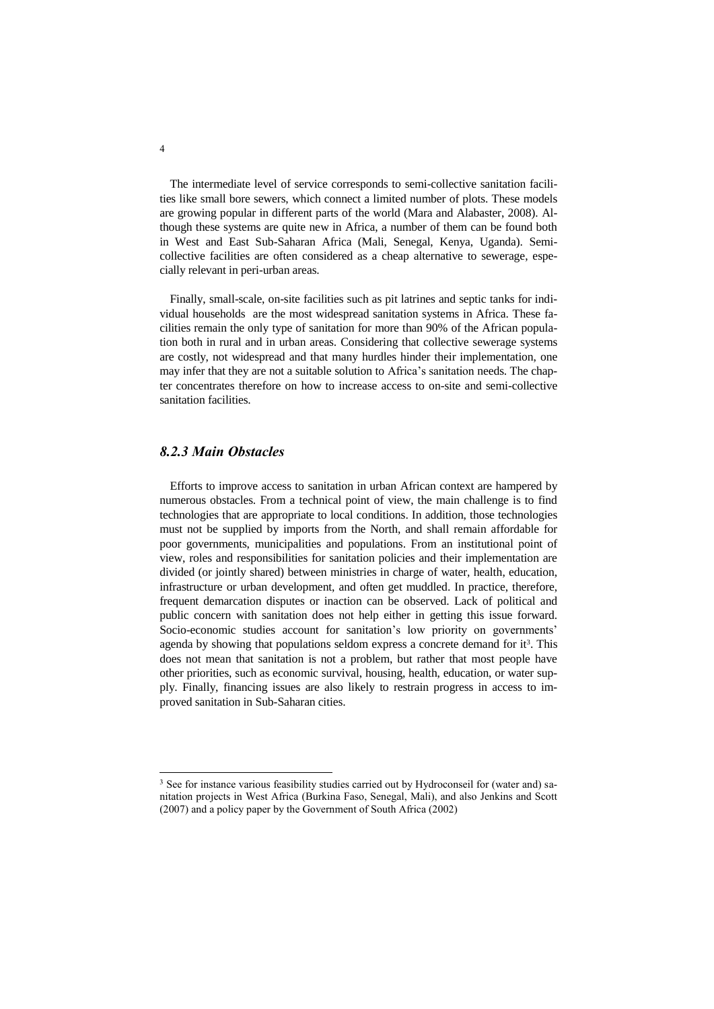The intermediate level of service corresponds to semi-collective sanitation facilities like small bore sewers, which connect a limited number of plots. These models are growing popular in different parts of the world (Mara and Alabaster, 2008). Although these systems are quite new in Africa, a number of them can be found both in West and East Sub-Saharan Africa (Mali, Senegal, Kenya, Uganda). Semicollective facilities are often considered as a cheap alternative to sewerage, especially relevant in peri-urban areas.

Finally, small-scale, on-site facilities such as pit latrines and septic tanks for individual households are the most widespread sanitation systems in Africa. These facilities remain the only type of sanitation for more than 90% of the African population both in rural and in urban areas. Considering that collective sewerage systems are costly, not widespread and that many hurdles hinder their implementation, one may infer that they are not a suitable solution to Africa's sanitation needs. The chapter concentrates therefore on how to increase access to on-site and semi-collective sanitation facilities.

## *8.2.3 Main Obstacles*

1

Efforts to improve access to sanitation in urban African context are hampered by numerous obstacles. From a technical point of view, the main challenge is to find technologies that are appropriate to local conditions. In addition, those technologies must not be supplied by imports from the North, and shall remain affordable for poor governments, municipalities and populations. From an institutional point of view, roles and responsibilities for sanitation policies and their implementation are divided (or jointly shared) between ministries in charge of water, health, education, infrastructure or urban development, and often get muddled. In practice, therefore, frequent demarcation disputes or inaction can be observed. Lack of political and public concern with sanitation does not help either in getting this issue forward. Socio-economic studies account for sanitation's low priority on governments' agenda by showing that populations seldom express a concrete demand for it<sup>3</sup>. This does not mean that sanitation is not a problem, but rather that most people have other priorities, such as economic survival, housing, health, education, or water supply. Finally, financing issues are also likely to restrain progress in access to improved sanitation in Sub-Saharan cities.

4

<sup>&</sup>lt;sup>3</sup> See for instance various feasibility studies carried out by Hydroconseil for (water and) sanitation projects in West Africa (Burkina Faso, Senegal, Mali), and also Jenkins and Scott (2007) and a policy paper by the Government of South Africa (2002)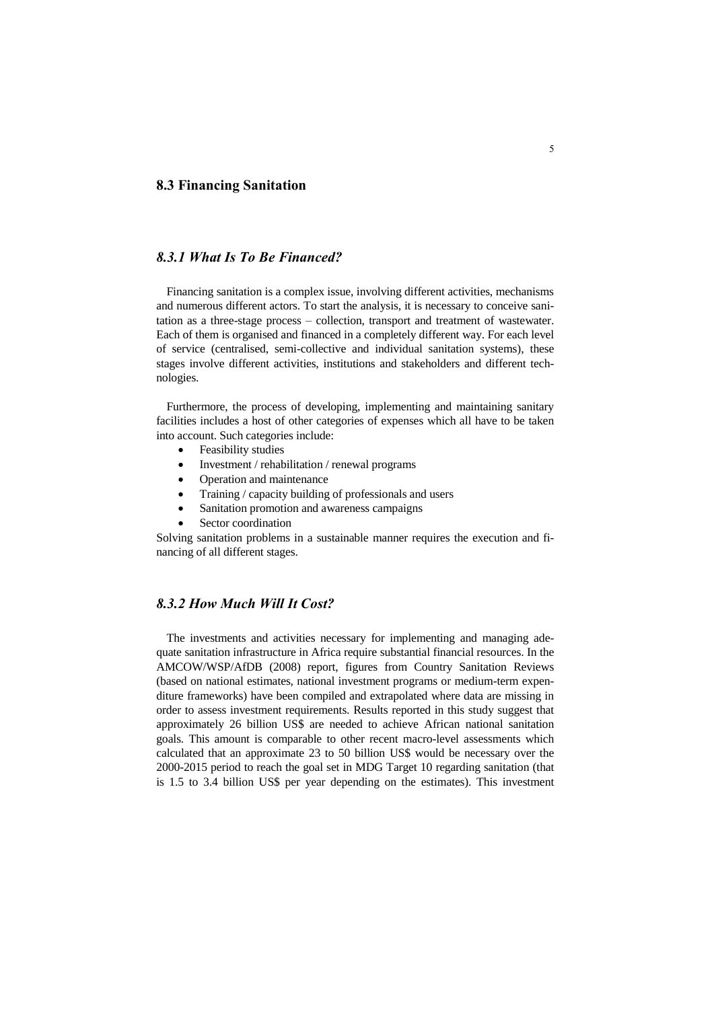### **8.3 Financing Sanitation**

# *8.3.1 What Is To Be Financed?*

Financing sanitation is a complex issue, involving different activities, mechanisms and numerous different actors. To start the analysis, it is necessary to conceive sanitation as a three-stage process – collection, transport and treatment of wastewater. Each of them is organised and financed in a completely different way. For each level of service (centralised, semi-collective and individual sanitation systems), these stages involve different activities, institutions and stakeholders and different technologies.

Furthermore, the process of developing, implementing and maintaining sanitary facilities includes a host of other categories of expenses which all have to be taken into account. Such categories include:

- Feasibility studies
- Investment / rehabilitation / renewal programs
- Operation and maintenance
- Training / capacity building of professionals and users
- Sanitation promotion and awareness campaigns
- Sector coordination

Solving sanitation problems in a sustainable manner requires the execution and financing of all different stages.

## *8.3.2 How Much Will It Cost?*

The investments and activities necessary for implementing and managing adequate sanitation infrastructure in Africa require substantial financial resources. In the AMCOW/WSP/AfDB (2008) report, figures from Country Sanitation Reviews (based on national estimates, national investment programs or medium-term expenditure frameworks) have been compiled and extrapolated where data are missing in order to assess investment requirements. Results reported in this study suggest that approximately 26 billion US\$ are needed to achieve African national sanitation goals. This amount is comparable to other recent macro-level assessments which calculated that an approximate 23 to 50 billion US\$ would be necessary over the 2000-2015 period to reach the goal set in MDG Target 10 regarding sanitation (that is 1.5 to 3.4 billion US\$ per year depending on the estimates). This investment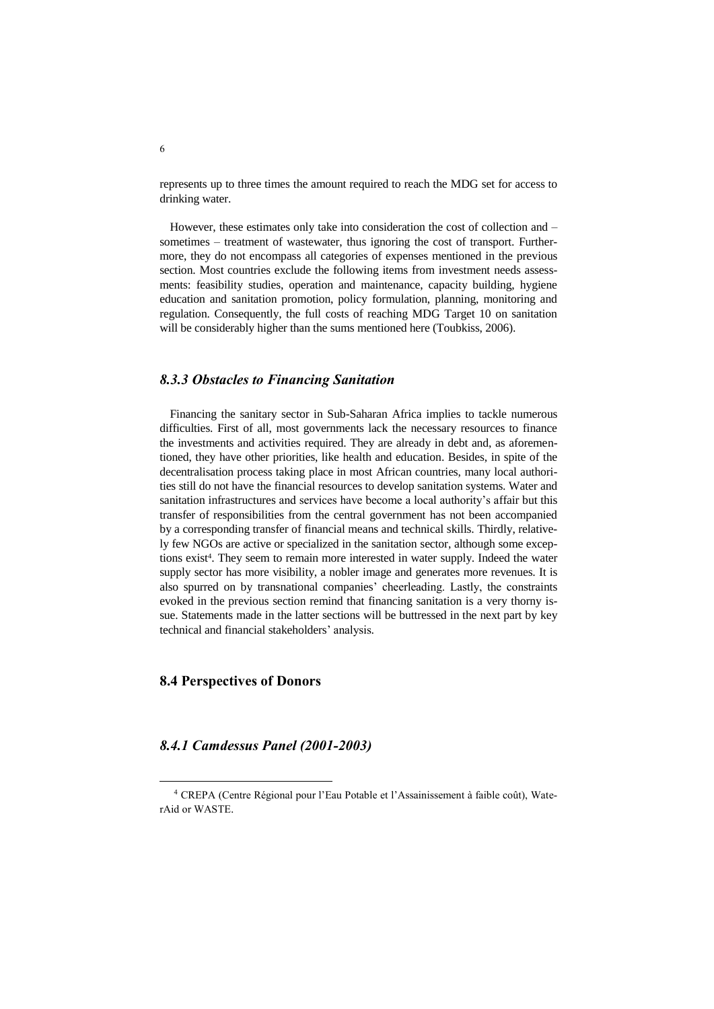represents up to three times the amount required to reach the MDG set for access to drinking water.

However, these estimates only take into consideration the cost of collection and – sometimes – treatment of wastewater, thus ignoring the cost of transport. Furthermore, they do not encompass all categories of expenses mentioned in the previous section. Most countries exclude the following items from investment needs assessments: feasibility studies, operation and maintenance, capacity building, hygiene education and sanitation promotion, policy formulation, planning, monitoring and regulation. Consequently, the full costs of reaching MDG Target 10 on sanitation will be considerably higher than the sums mentioned here (Toubkiss, 2006).

#### *8.3.3 Obstacles to Financing Sanitation*

Financing the sanitary sector in Sub-Saharan Africa implies to tackle numerous difficulties. First of all, most governments lack the necessary resources to finance the investments and activities required. They are already in debt and, as aforementioned, they have other priorities, like health and education. Besides, in spite of the decentralisation process taking place in most African countries, many local authorities still do not have the financial resources to develop sanitation systems. Water and sanitation infrastructures and services have become a local authority's affair but this transfer of responsibilities from the central government has not been accompanied by a corresponding transfer of financial means and technical skills. Thirdly, relatively few NGOs are active or specialized in the sanitation sector, although some exceptions exist<sup>4</sup>. They seem to remain more interested in water supply. Indeed the water supply sector has more visibility, a nobler image and generates more revenues. It is also spurred on by transnational companies' cheerleading. Lastly, the constraints evoked in the previous section remind that financing sanitation is a very thorny issue. Statements made in the latter sections will be buttressed in the next part by key technical and financial stakeholders' analysis.

#### **8.4 Perspectives of Donors**

-

## *8.4.1 Camdessus Panel (2001-2003)*

<sup>4</sup> CREPA (Centre Régional pour l'Eau Potable et l'Assainissement à faible coût), WaterAid or WASTE.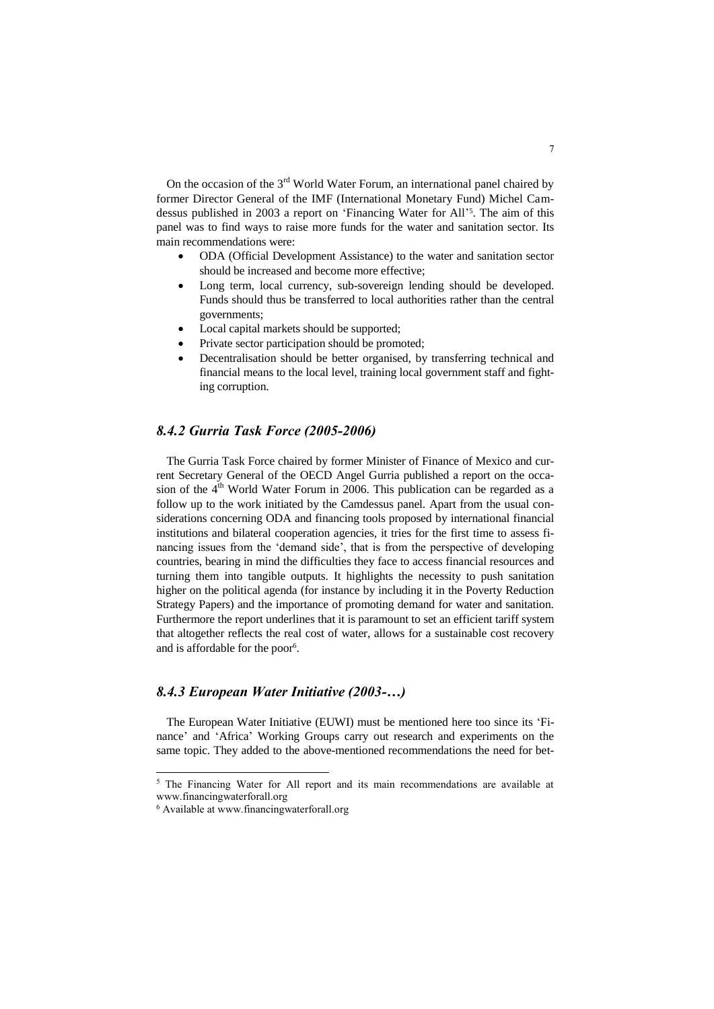On the occasion of the  $3<sup>rd</sup>$  World Water Forum, an international panel chaired by former Director General of the IMF (International Monetary Fund) Michel Camdessus published in 2003 a report on 'Financing Water for All' 5 . The aim of this panel was to find ways to raise more funds for the water and sanitation sector. Its main recommendations were:

- ODA (Official Development Assistance) to the water and sanitation sector should be increased and become more effective;
- Long term, local currency, sub-sovereign lending should be developed. Funds should thus be transferred to local authorities rather than the central governments;
- Local capital markets should be supported;
- Private sector participation should be promoted;
- Decentralisation should be better organised, by transferring technical and financial means to the local level, training local government staff and fighting corruption.

## *8.4.2 Gurria Task Force (2005-2006)*

The Gurria Task Force chaired by former Minister of Finance of Mexico and current Secretary General of the OECD Angel Gurria published a report on the occasion of the  $4<sup>th</sup>$  World Water Forum in 2006. This publication can be regarded as a follow up to the work initiated by the Camdessus panel. Apart from the usual considerations concerning ODA and financing tools proposed by international financial institutions and bilateral cooperation agencies, it tries for the first time to assess financing issues from the 'demand side', that is from the perspective of developing countries, bearing in mind the difficulties they face to access financial resources and turning them into tangible outputs. It highlights the necessity to push sanitation higher on the political agenda (for instance by including it in the Poverty Reduction Strategy Papers) and the importance of promoting demand for water and sanitation. Furthermore the report underlines that it is paramount to set an efficient tariff system that altogether reflects the real cost of water, allows for a sustainable cost recovery and is affordable for the poor<sup>6</sup>.

## *8.4.3 European Water Initiative (2003-…)*

The European Water Initiative (EUWI) must be mentioned here too since its 'Finance' and 'Africa' Working Groups carry out research and experiments on the same topic. They added to the above-mentioned recommendations the need for bet-

-

<sup>&</sup>lt;sup>5</sup> The Financing Water for All report and its main recommendations are available at www.financingwaterforall.org

<sup>6</sup> Available at www.financingwaterforall.org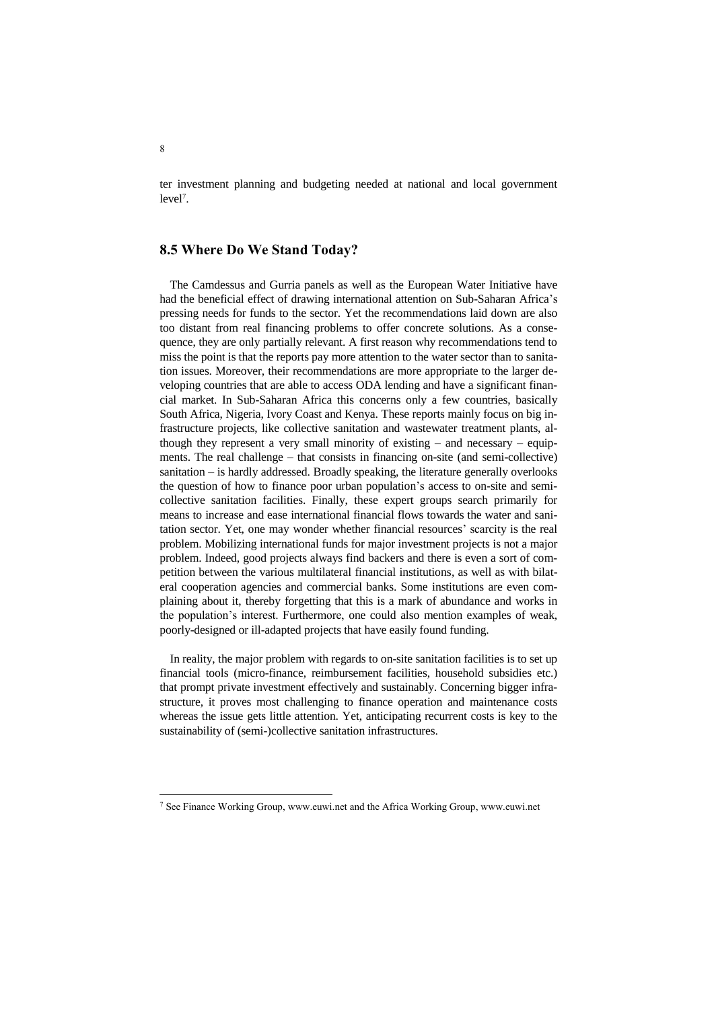ter investment planning and budgeting needed at national and local government level<sup>7</sup> .

## **8.5 Where Do We Stand Today?**

The Camdessus and Gurria panels as well as the European Water Initiative have had the beneficial effect of drawing international attention on Sub-Saharan Africa's pressing needs for funds to the sector. Yet the recommendations laid down are also too distant from real financing problems to offer concrete solutions. As a consequence, they are only partially relevant. A first reason why recommendations tend to miss the point is that the reports pay more attention to the water sector than to sanitation issues. Moreover, their recommendations are more appropriate to the larger developing countries that are able to access ODA lending and have a significant financial market. In Sub-Saharan Africa this concerns only a few countries, basically South Africa, Nigeria, Ivory Coast and Kenya. These reports mainly focus on big infrastructure projects, like collective sanitation and wastewater treatment plants, although they represent a very small minority of existing  $-$  and necessary  $-$  equipments. The real challenge – that consists in financing on-site (and semi-collective) sanitation – is hardly addressed. Broadly speaking, the literature generally overlooks the question of how to finance poor urban population's access to on-site and semicollective sanitation facilities. Finally, these expert groups search primarily for means to increase and ease international financial flows towards the water and sanitation sector. Yet, one may wonder whether financial resources' scarcity is the real problem. Mobilizing international funds for major investment projects is not a major problem. Indeed, good projects always find backers and there is even a sort of competition between the various multilateral financial institutions, as well as with bilateral cooperation agencies and commercial banks. Some institutions are even complaining about it, thereby forgetting that this is a mark of abundance and works in the population's interest. Furthermore, one could also mention examples of weak, poorly-designed or ill-adapted projects that have easily found funding.

In reality, the major problem with regards to on-site sanitation facilities is to set up financial tools (micro-finance, reimbursement facilities, household subsidies etc.) that prompt private investment effectively and sustainably. Concerning bigger infrastructure, it proves most challenging to finance operation and maintenance costs whereas the issue gets little attention. Yet, anticipating recurrent costs is key to the sustainability of (semi-)collective sanitation infrastructures.

 $\overline{a}$ 

<sup>7</sup> See Finance Working Group, www.euwi.net and the Africa Working Group, www.euwi.net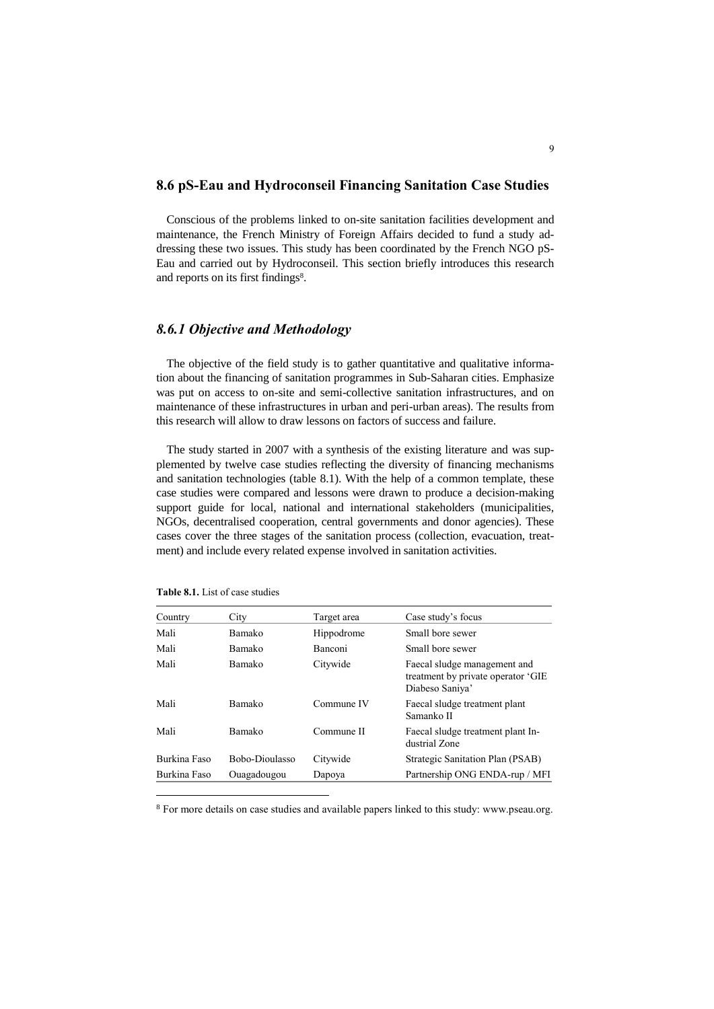#### **8.6 pS-Eau and Hydroconseil Financing Sanitation Case Studies**

Conscious of the problems linked to on-site sanitation facilities development and maintenance, the French Ministry of Foreign Affairs decided to fund a study addressing these two issues. This study has been coordinated by the French NGO pS-Eau and carried out by Hydroconseil. This section briefly introduces this research and reports on its first findings<sup>8</sup>.

#### *8.6.1 Objective and Methodology*

The objective of the field study is to gather quantitative and qualitative information about the financing of sanitation programmes in Sub-Saharan cities. Emphasize was put on access to on-site and semi-collective sanitation infrastructures, and on maintenance of these infrastructures in urban and peri-urban areas). The results from this research will allow to draw lessons on factors of success and failure.

The study started in 2007 with a synthesis of the existing literature and was supplemented by twelve case studies reflecting the diversity of financing mechanisms and sanitation technologies (table 8.1). With the help of a common template, these case studies were compared and lessons were drawn to produce a decision-making support guide for local, national and international stakeholders (municipalities, NGOs, decentralised cooperation, central governments and donor agencies). These cases cover the three stages of the sanitation process (collection, evacuation, treatment) and include every related expense involved in sanitation activities.

| Country      | City           | Target area | Case study's focus                                                                    |
|--------------|----------------|-------------|---------------------------------------------------------------------------------------|
| Mali         | Bamako         | Hippodrome  | Small bore sewer                                                                      |
| Mali         | Bamako         | Banconi     | Small bore sewer                                                                      |
| Mali         | Bamako         | Citywide    | Faecal sludge management and<br>treatment by private operator 'GIE<br>Diabeso Saniya' |
| Mali         | Bamako         | Commune IV  | Faecal sludge treatment plant<br>Samanko II                                           |
| Mali         | Bamako         | Commune II  | Faecal sludge treatment plant In-<br>dustrial Zone                                    |
| Burkina Faso | Bobo-Dioulasso | Citywide    | Strategic Sanitation Plan (PSAB)                                                      |
| Burkina Faso | Ouagadougou    | Dapoya      | Partnership ONG ENDA-rup / MFI                                                        |

**Table 8.1.** List of case studies

-

<sup>8</sup> For more details on case studies and available papers linked to this study[: www.pseau.org.](http://www.pseau.org/)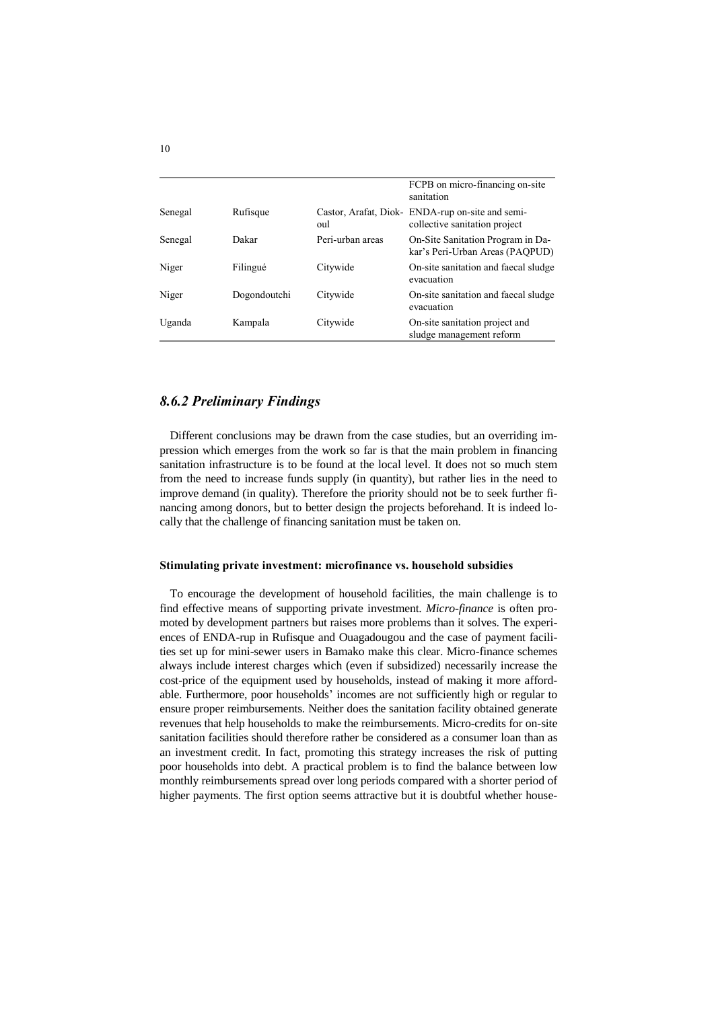|         |              |                  | FCPB on micro-financing on-site<br>sanitation                                      |
|---------|--------------|------------------|------------------------------------------------------------------------------------|
| Senegal | Rufisque     | oul              | Castor, Arafat, Diok - ENDA-rup on-site and semi-<br>collective sanitation project |
| Senegal | Dakar        | Peri-urban areas | On-Site Sanitation Program in Da-<br>kar's Peri-Urban Areas (PAOPUD)               |
| Niger   | Filingué     | Citywide         | On-site sanitation and faecal sludge<br>evacuation                                 |
| Niger   | Dogondoutchi | Citywide         | On-site sanitation and faecal sludge<br>evacuation                                 |
| Uganda  | Kampala      | Citywide         | On-site sanitation project and<br>sludge management reform                         |

## *8.6.2 Preliminary Findings*

Different conclusions may be drawn from the case studies, but an overriding impression which emerges from the work so far is that the main problem in financing sanitation infrastructure is to be found at the local level. It does not so much stem from the need to increase funds supply (in quantity), but rather lies in the need to improve demand (in quality). Therefore the priority should not be to seek further financing among donors, but to better design the projects beforehand. It is indeed locally that the challenge of financing sanitation must be taken on.

#### **Stimulating private investment: microfinance vs. household subsidies**

To encourage the development of household facilities, the main challenge is to find effective means of supporting private investment. *Micro-finance* is often promoted by development partners but raises more problems than it solves. The experiences of ENDA-rup in Rufisque and Ouagadougou and the case of payment facilities set up for mini-sewer users in Bamako make this clear. Micro-finance schemes always include interest charges which (even if subsidized) necessarily increase the cost-price of the equipment used by households, instead of making it more affordable. Furthermore, poor households' incomes are not sufficiently high or regular to ensure proper reimbursements. Neither does the sanitation facility obtained generate revenues that help households to make the reimbursements. Micro-credits for on-site sanitation facilities should therefore rather be considered as a consumer loan than as an investment credit. In fact, promoting this strategy increases the risk of putting poor households into debt. A practical problem is to find the balance between low monthly reimbursements spread over long periods compared with a shorter period of higher payments. The first option seems attractive but it is doubtful whether house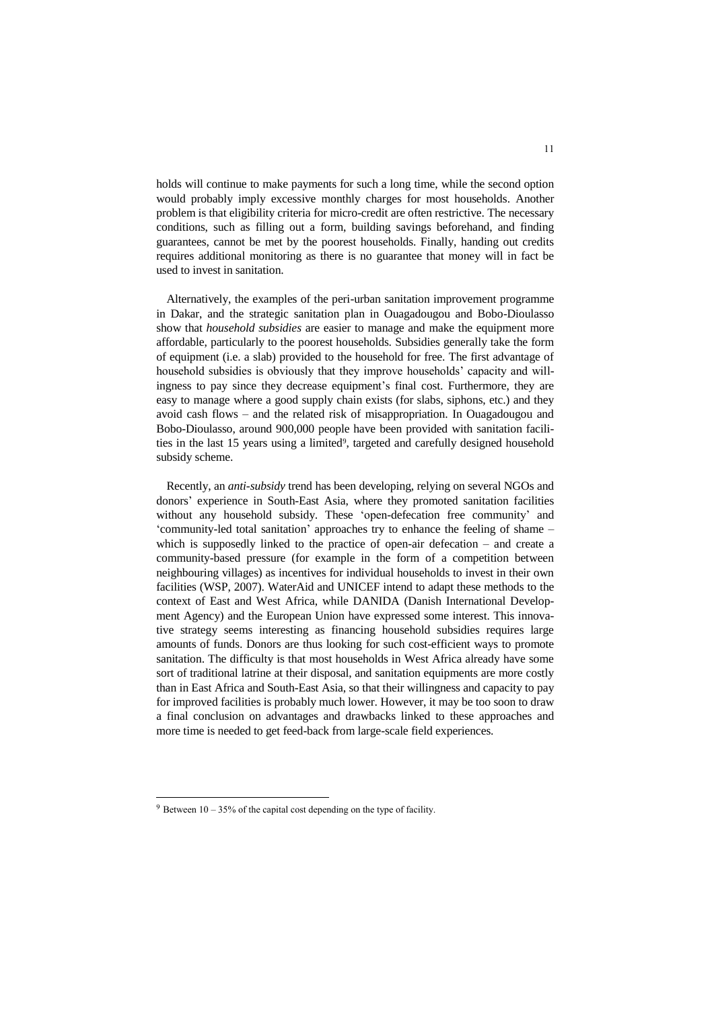holds will continue to make payments for such a long time, while the second option would probably imply excessive monthly charges for most households. Another problem is that eligibility criteria for micro-credit are often restrictive. The necessary conditions, such as filling out a form, building savings beforehand, and finding guarantees, cannot be met by the poorest households. Finally, handing out credits requires additional monitoring as there is no guarantee that money will in fact be used to invest in sanitation.

Alternatively, the examples of the peri-urban sanitation improvement programme in Dakar, and the strategic sanitation plan in Ouagadougou and Bobo-Dioulasso show that *household subsidies* are easier to manage and make the equipment more affordable, particularly to the poorest households. Subsidies generally take the form of equipment (i.e. a slab) provided to the household for free. The first advantage of household subsidies is obviously that they improve households' capacity and willingness to pay since they decrease equipment's final cost. Furthermore, they are easy to manage where a good supply chain exists (for slabs, siphons, etc.) and they avoid cash flows – and the related risk of misappropriation. In Ouagadougou and Bobo-Dioulasso, around 900,000 people have been provided with sanitation facilities in the last 15 years using a limited<sup>9</sup>, targeted and carefully designed household subsidy scheme.

Recently, an *anti-subsidy* trend has been developing, relying on several NGOs and donors' experience in South-East Asia, where they promoted sanitation facilities without any household subsidy. These 'open-defecation free community' and 'community-led total sanitation' approaches try to enhance the feeling of shame – which is supposedly linked to the practice of open-air defecation – and create a community-based pressure (for example in the form of a competition between neighbouring villages) as incentives for individual households to invest in their own facilities (WSP, 2007). WaterAid and UNICEF intend to adapt these methods to the context of East and West Africa, while DANIDA (Danish International Development Agency) and the European Union have expressed some interest. This innovative strategy seems interesting as financing household subsidies requires large amounts of funds. Donors are thus looking for such cost-efficient ways to promote sanitation. The difficulty is that most households in West Africa already have some sort of traditional latrine at their disposal, and sanitation equipments are more costly than in East Africa and South-East Asia, so that their willingness and capacity to pay for improved facilities is probably much lower. However, it may be too soon to draw a final conclusion on advantages and drawbacks linked to these approaches and more time is needed to get feed-back from large-scale field experiences.

-

 $9$  Between 10 – 35% of the capital cost depending on the type of facility.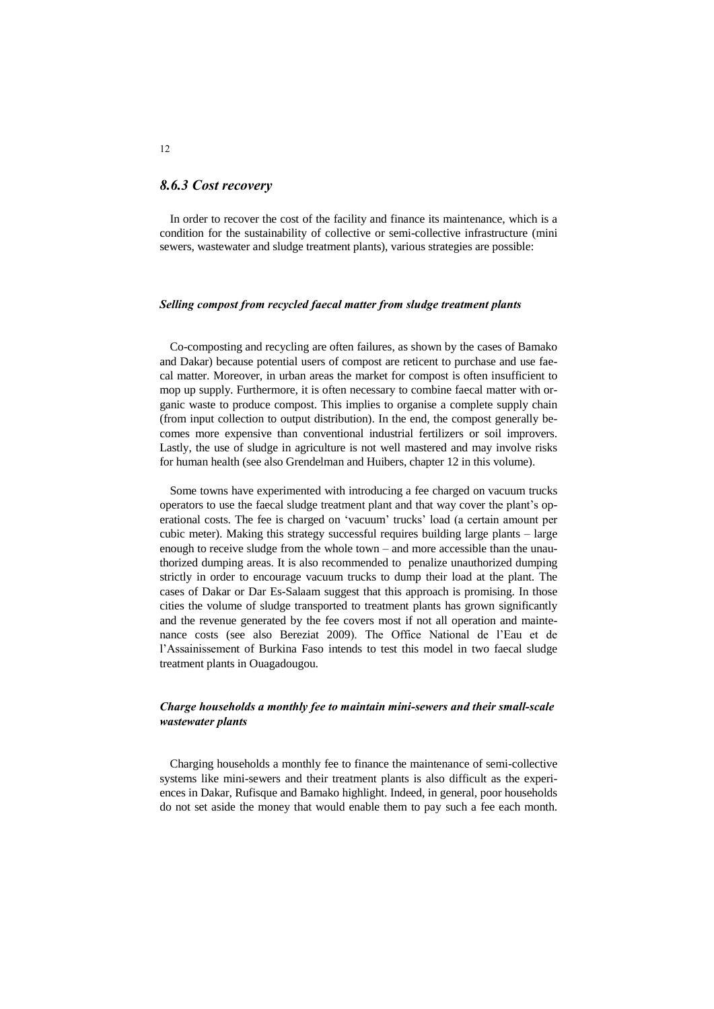### *8.6.3 Cost recovery*

In order to recover the cost of the facility and finance its maintenance, which is a condition for the sustainability of collective or semi-collective infrastructure (mini sewers, wastewater and sludge treatment plants), various strategies are possible:

#### *Selling compost from recycled faecal matter from sludge treatment plants*

Co-composting and recycling are often failures, as shown by the cases of Bamako and Dakar) because potential users of compost are reticent to purchase and use faecal matter. Moreover, in urban areas the market for compost is often insufficient to mop up supply. Furthermore, it is often necessary to combine faecal matter with organic waste to produce compost. This implies to organise a complete supply chain (from input collection to output distribution). In the end, the compost generally becomes more expensive than conventional industrial fertilizers or soil improvers. Lastly, the use of sludge in agriculture is not well mastered and may involve risks for human health (see also Grendelman and Huibers, chapter 12 in this volume).

Some towns have experimented with introducing a fee charged on vacuum trucks operators to use the faecal sludge treatment plant and that way cover the plant's operational costs. The fee is charged on 'vacuum' trucks' load (a certain amount per cubic meter). Making this strategy successful requires building large plants – large enough to receive sludge from the whole town – and more accessible than the unauthorized dumping areas. It is also recommended to penalize unauthorized dumping strictly in order to encourage vacuum trucks to dump their load at the plant. The cases of Dakar or Dar Es-Salaam suggest that this approach is promising. In those cities the volume of sludge transported to treatment plants has grown significantly and the revenue generated by the fee covers most if not all operation and maintenance costs (see also Bereziat 2009). The Office National de l'Eau et de l'Assainissement of Burkina Faso intends to test this model in two faecal sludge treatment plants in Ouagadougou.

#### *Charge households a monthly fee to maintain mini-sewers and their small-scale wastewater plants*

Charging households a monthly fee to finance the maintenance of semi-collective systems like mini-sewers and their treatment plants is also difficult as the experiences in Dakar, Rufisque and Bamako highlight. Indeed, in general, poor households do not set aside the money that would enable them to pay such a fee each month.

12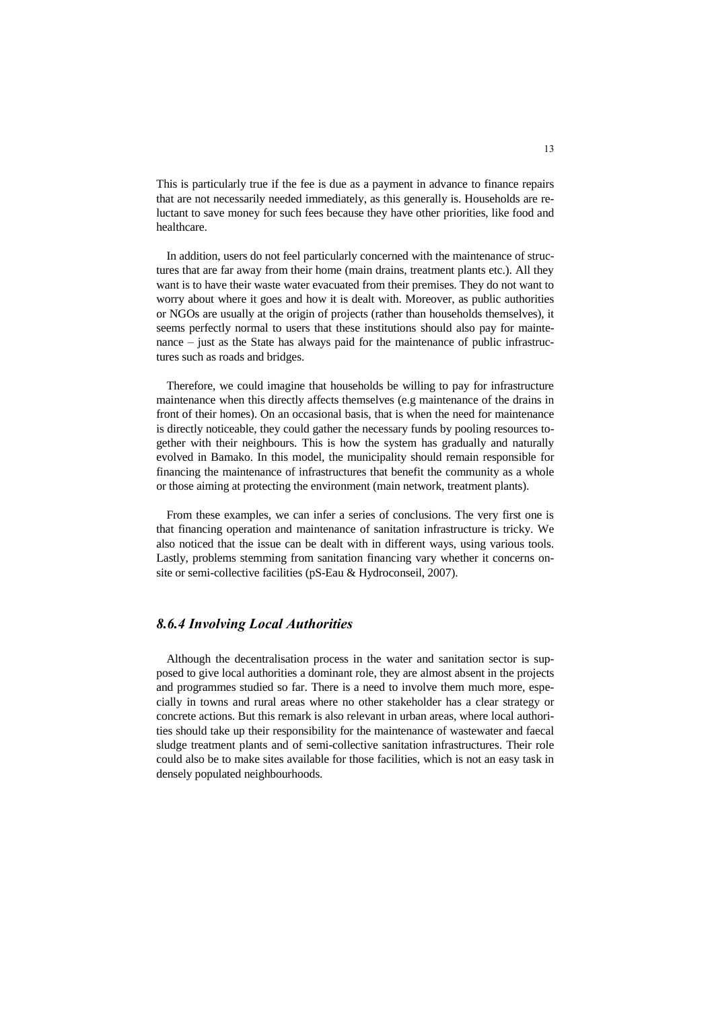This is particularly true if the fee is due as a payment in advance to finance repairs that are not necessarily needed immediately, as this generally is. Households are reluctant to save money for such fees because they have other priorities, like food and healthcare.

In addition, users do not feel particularly concerned with the maintenance of structures that are far away from their home (main drains, treatment plants etc.). All they want is to have their waste water evacuated from their premises. They do not want to worry about where it goes and how it is dealt with. Moreover, as public authorities or NGOs are usually at the origin of projects (rather than households themselves), it seems perfectly normal to users that these institutions should also pay for maintenance – just as the State has always paid for the maintenance of public infrastructures such as roads and bridges.

Therefore, we could imagine that households be willing to pay for infrastructure maintenance when this directly affects themselves (e.g maintenance of the drains in front of their homes). On an occasional basis, that is when the need for maintenance is directly noticeable, they could gather the necessary funds by pooling resources together with their neighbours. This is how the system has gradually and naturally evolved in Bamako. In this model, the municipality should remain responsible for financing the maintenance of infrastructures that benefit the community as a whole or those aiming at protecting the environment (main network, treatment plants).

From these examples, we can infer a series of conclusions. The very first one is that financing operation and maintenance of sanitation infrastructure is tricky. We also noticed that the issue can be dealt with in different ways, using various tools. Lastly, problems stemming from sanitation financing vary whether it concerns onsite or semi-collective facilities (pS-Eau & Hydroconseil, 2007).

## *8.6.4 Involving Local Authorities*

Although the decentralisation process in the water and sanitation sector is supposed to give local authorities a dominant role, they are almost absent in the projects and programmes studied so far. There is a need to involve them much more, especially in towns and rural areas where no other stakeholder has a clear strategy or concrete actions. But this remark is also relevant in urban areas, where local authorities should take up their responsibility for the maintenance of wastewater and faecal sludge treatment plants and of semi-collective sanitation infrastructures. Their role could also be to make sites available for those facilities, which is not an easy task in densely populated neighbourhoods.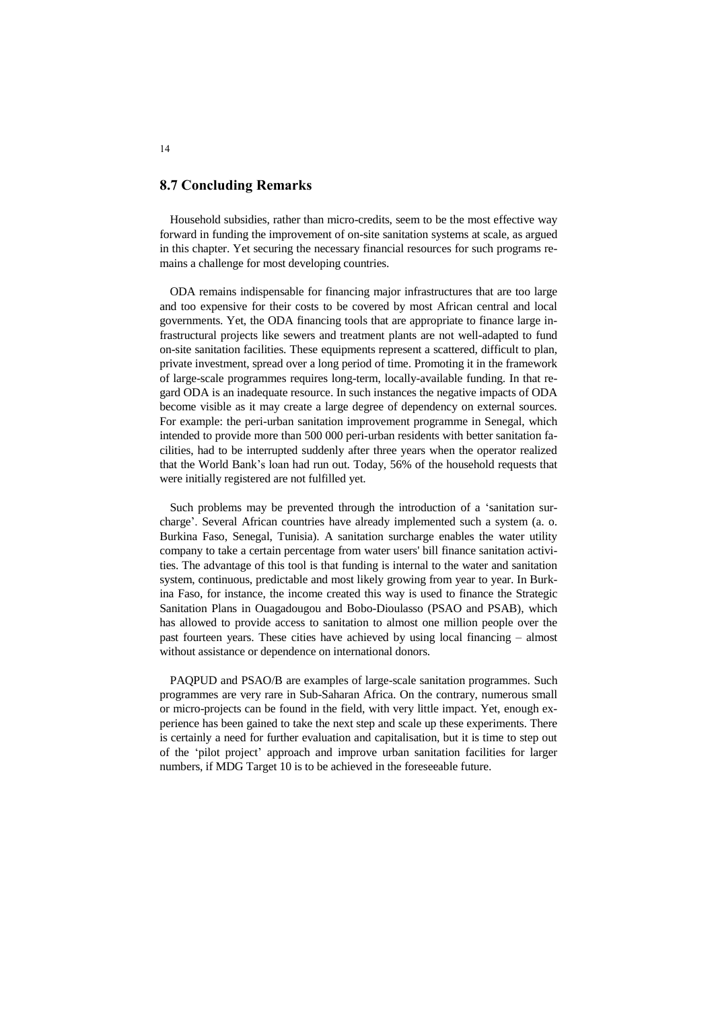#### **8.7 Concluding Remarks**

Household subsidies, rather than micro-credits, seem to be the most effective way forward in funding the improvement of on-site sanitation systems at scale, as argued in this chapter. Yet securing the necessary financial resources for such programs remains a challenge for most developing countries.

ODA remains indispensable for financing major infrastructures that are too large and too expensive for their costs to be covered by most African central and local governments. Yet, the ODA financing tools that are appropriate to finance large infrastructural projects like sewers and treatment plants are not well-adapted to fund on-site sanitation facilities. These equipments represent a scattered, difficult to plan, private investment, spread over a long period of time. Promoting it in the framework of large-scale programmes requires long-term, locally-available funding. In that regard ODA is an inadequate resource. In such instances the negative impacts of ODA become visible as it may create a large degree of dependency on external sources. For example: the peri-urban sanitation improvement programme in Senegal, which intended to provide more than 500 000 peri-urban residents with better sanitation facilities, had to be interrupted suddenly after three years when the operator realized that the World Bank's loan had run out. Today, 56% of the household requests that were initially registered are not fulfilled yet.

Such problems may be prevented through the introduction of a 'sanitation surcharge'. Several African countries have already implemented such a system (a. o. Burkina Faso, Senegal, Tunisia). A sanitation surcharge enables the water utility company to take a certain percentage from water users' bill finance sanitation activities. The advantage of this tool is that funding is internal to the water and sanitation system, continuous, predictable and most likely growing from year to year. In Burkina Faso, for instance, the income created this way is used to finance the Strategic Sanitation Plans in Ouagadougou and Bobo-Dioulasso (PSAO and PSAB), which has allowed to provide access to sanitation to almost one million people over the past fourteen years. These cities have achieved by using local financing – almost without assistance or dependence on international donors.

PAQPUD and PSAO/B are examples of large-scale sanitation programmes. Such programmes are very rare in Sub-Saharan Africa. On the contrary, numerous small or micro-projects can be found in the field, with very little impact. Yet, enough experience has been gained to take the next step and scale up these experiments. There is certainly a need for further evaluation and capitalisation, but it is time to step out of the 'pilot project' approach and improve urban sanitation facilities for larger numbers, if MDG Target 10 is to be achieved in the foreseeable future.

14